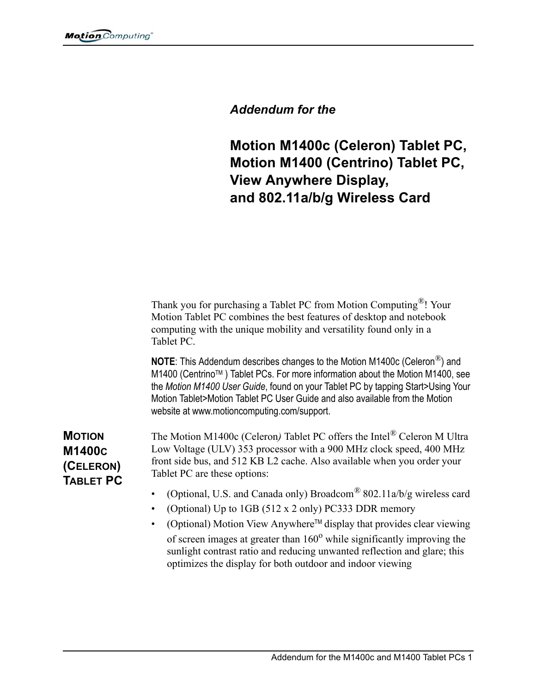## *Addendum for the*

**Motion M1400c (Celeron) Tablet PC, Motion M1400 (Centrino) Tablet PC, View Anywhere Display, and 802.11a/b/g Wireless Card**

Thank you for purchasing a Tablet PC from Motion Computing*®*! Your Motion Tablet PC combines the best features of desktop and notebook computing with the unique mobility and versatility found only in a Tablet PC.

**NOTE**: This Addendum describes changes to the Motion M1400c (Celeron*®*) and M1400 (Centrino™) Tablet PCs. For more information about the Motion M1400, see the *Motion M1400 User Guide*, found on your Tablet PC by tapping Start>Using Your Motion Tablet>Motion Tablet PC User Guide and also available from the Motion website at www.motioncomputing.com/support.

**MOTION M1400C (CELERON) TABLET PC**  The Motion M1400c (Celeron*)* Tablet PC offers the Intel*®* Celeron M Ultra Low Voltage (ULV) 353 processor with a 900 MHz clock speed, 400 MHz front side bus, and 512 KB L2 cache. Also available when you order your Tablet PC are these options:

- (Optional, U.S. and Canada only) Broadcom*®* 802.11a/b/g wireless card
- (Optional) Up to 1GB (512 x 2 only) PC333 DDR memory
- (Optional) Motion View AnywhereTM display that provides clear viewing of screen images at greater than  $160^{\circ}$  while significantly improving the sunlight contrast ratio and reducing unwanted reflection and glare; this optimizes the display for both outdoor and indoor viewing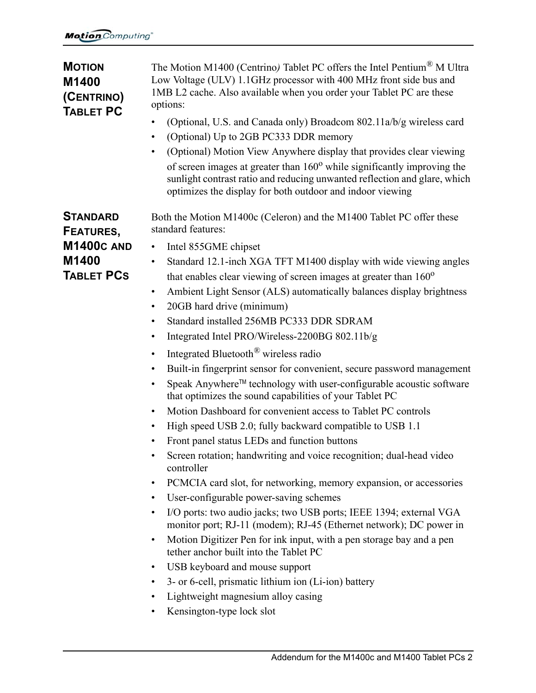| <b>MOTION</b><br>M1400<br>(CENTRINO)<br><b>TABLET PC</b>                        | The Motion M1400 (Centrino) Tablet PC offers the Intel Pentium <sup>®</sup> M Ultra<br>Low Voltage (ULV) 1.1GHz processor with 400 MHz front side bus and<br>1MB L2 cache. Also available when you order your Tablet PC are these<br>options:<br>(Optional, U.S. and Canada only) Broadcom 802.11a/b/g wireless card<br>(Optional) Up to 2GB PC333 DDR memory<br>$\bullet$<br>(Optional) Motion View Anywhere display that provides clear viewing<br>of screen images at greater than $160^{\circ}$ while significantly improving the<br>sunlight contrast ratio and reducing unwanted reflection and glare, which<br>optimizes the display for both outdoor and indoor viewing                                                                                                                                                                                                                                                                                                                                                                                                                                                                                                                                                                                                                                                                                                                                                                                                                                                                                                                                                                                                                                                           |
|---------------------------------------------------------------------------------|-------------------------------------------------------------------------------------------------------------------------------------------------------------------------------------------------------------------------------------------------------------------------------------------------------------------------------------------------------------------------------------------------------------------------------------------------------------------------------------------------------------------------------------------------------------------------------------------------------------------------------------------------------------------------------------------------------------------------------------------------------------------------------------------------------------------------------------------------------------------------------------------------------------------------------------------------------------------------------------------------------------------------------------------------------------------------------------------------------------------------------------------------------------------------------------------------------------------------------------------------------------------------------------------------------------------------------------------------------------------------------------------------------------------------------------------------------------------------------------------------------------------------------------------------------------------------------------------------------------------------------------------------------------------------------------------------------------------------------------------|
| <b>STANDARD</b><br>FEATURES,<br><b>M1400C AND</b><br>M1400<br><b>TABLET PCS</b> | Both the Motion M1400c (Celeron) and the M1400 Tablet PC offer these<br>standard features:<br>Intel 855GME chipset<br>Standard 12.1-inch XGA TFT M1400 display with wide viewing angles<br>$\bullet$<br>that enables clear viewing of screen images at greater than 160 <sup>o</sup><br>Ambient Light Sensor (ALS) automatically balances display brightness<br>$\bullet$<br>20GB hard drive (minimum)<br>$\bullet$<br>Standard installed 256MB PC333 DDR SDRAM<br>٠<br>Integrated Intel PRO/Wireless-2200BG 802.11b/g<br>$\bullet$<br>Integrated Bluetooth <sup>®</sup> wireless radio<br>٠<br>Built-in fingerprint sensor for convenient, secure password management<br>$\bullet$<br>Speak Anywhere™ technology with user-configurable acoustic software<br>$\bullet$<br>that optimizes the sound capabilities of your Tablet PC<br>Motion Dashboard for convenient access to Tablet PC controls<br>$\bullet$<br>High speed USB 2.0; fully backward compatible to USB 1.1<br>Front panel status LEDs and function buttons<br>Screen rotation; handwriting and voice recognition; dual-head video<br>controller<br>PCMCIA card slot, for networking, memory expansion, or accessories<br>$\bullet$<br>User-configurable power-saving schemes<br>$\bullet$<br>I/O ports: two audio jacks; two USB ports; IEEE 1394; external VGA<br>monitor port; RJ-11 (modem); RJ-45 (Ethernet network); DC power in<br>Motion Digitizer Pen for ink input, with a pen storage bay and a pen<br>$\bullet$<br>tether anchor built into the Tablet PC<br>USB keyboard and mouse support<br>$\bullet$<br>3- or 6-cell, prismatic lithium ion (Li-ion) battery<br>$\bullet$<br>Lightweight magnesium alloy casing<br>Kensington-type lock slot<br>$\bullet$ |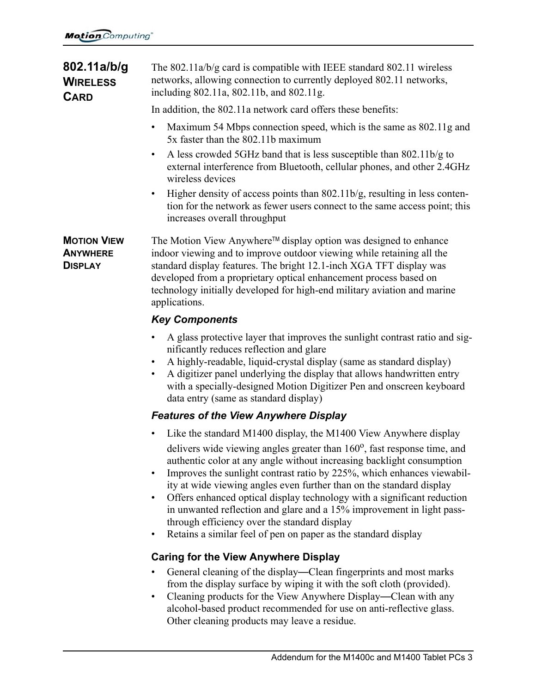| 802.11a/b/g<br><b>WIRELESS</b><br><b>CARD</b>           | The 802.11a/b/g card is compatible with IEEE standard 802.11 wireless<br>networks, allowing connection to currently deployed 802.11 networks,<br>including 802.11a, 802.11b, and 802.11g.                                                                                                                                                                                                                                                                                                                                                                                                                                                                                        |
|---------------------------------------------------------|----------------------------------------------------------------------------------------------------------------------------------------------------------------------------------------------------------------------------------------------------------------------------------------------------------------------------------------------------------------------------------------------------------------------------------------------------------------------------------------------------------------------------------------------------------------------------------------------------------------------------------------------------------------------------------|
|                                                         | In addition, the 802.11a network card offers these benefits:                                                                                                                                                                                                                                                                                                                                                                                                                                                                                                                                                                                                                     |
|                                                         | Maximum 54 Mbps connection speed, which is the same as 802.11g and<br>$\bullet$<br>5x faster than the 802.11b maximum                                                                                                                                                                                                                                                                                                                                                                                                                                                                                                                                                            |
|                                                         | A less crowded 5GHz band that is less susceptible than 802.11b/g to<br>external interference from Bluetooth, cellular phones, and other 2.4GHz<br>wireless devices                                                                                                                                                                                                                                                                                                                                                                                                                                                                                                               |
|                                                         | Higher density of access points than $802.11b/g$ , resulting in less conten-<br>$\bullet$<br>tion for the network as fewer users connect to the same access point; this<br>increases overall throughput                                                                                                                                                                                                                                                                                                                                                                                                                                                                          |
| <b>MOTION VIEW</b><br><b>ANYWHERE</b><br><b>DISPLAY</b> | The Motion View Anywhere™ display option was designed to enhance<br>indoor viewing and to improve outdoor viewing while retaining all the<br>standard display features. The bright 12.1-inch XGA TFT display was<br>developed from a proprietary optical enhancement process based on<br>technology initially developed for high-end military aviation and marine<br>applications.                                                                                                                                                                                                                                                                                               |
|                                                         | <b>Key Components</b>                                                                                                                                                                                                                                                                                                                                                                                                                                                                                                                                                                                                                                                            |
|                                                         | A glass protective layer that improves the sunlight contrast ratio and sig-<br>$\bullet$<br>nificantly reduces reflection and glare<br>A highly-readable, liquid-crystal display (same as standard display)<br>A digitizer panel underlying the display that allows handwritten entry<br>$\bullet$<br>with a specially-designed Motion Digitizer Pen and onscreen keyboard<br>data entry (same as standard display)                                                                                                                                                                                                                                                              |
|                                                         | <b>Features of the View Anywhere Display</b>                                                                                                                                                                                                                                                                                                                                                                                                                                                                                                                                                                                                                                     |
|                                                         | Like the standard M1400 display, the M1400 View Anywhere display<br>delivers wide viewing angles greater than $160^{\circ}$ , fast response time, and<br>authentic color at any angle without increasing backlight consumption<br>Improves the sunlight contrast ratio by 225%, which enhances viewabil-<br>$\bullet$<br>ity at wide viewing angles even further than on the standard display<br>Offers enhanced optical display technology with a significant reduction<br>$\bullet$<br>in unwanted reflection and glare and a 15% improvement in light pass-<br>through efficiency over the standard display<br>Retains a similar feel of pen on paper as the standard display |
|                                                         | <b>Caring for the View Anywhere Display</b>                                                                                                                                                                                                                                                                                                                                                                                                                                                                                                                                                                                                                                      |
|                                                         | General cleaning of the display—Clean fingerprints and most marks<br>from the display surface by wiping it with the soft cloth (provided).<br>Cleaning products for the View Anywhere Display—Clean with any<br>$\bullet$<br>alcohol-based product recommended for use on anti-reflective glass.                                                                                                                                                                                                                                                                                                                                                                                 |

Other cleaning products may leave a residue.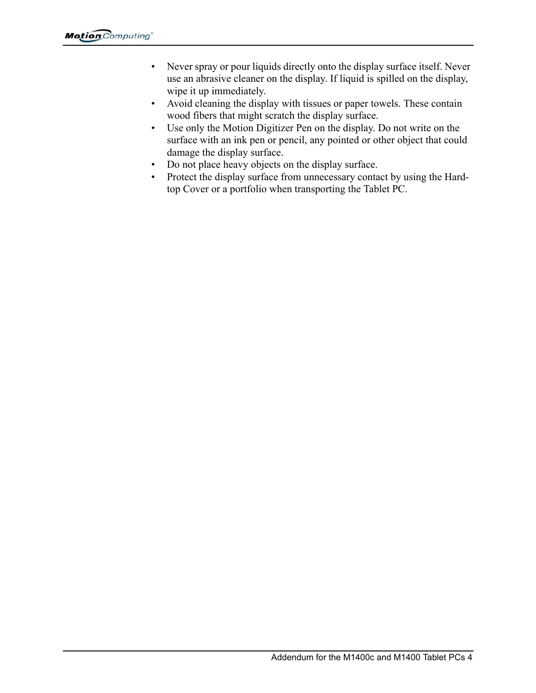- Never spray or pour liquids directly onto the display surface itself. Never use an abrasive cleaner on the display. If liquid is spilled on the display, wipe it up immediately.
- Avoid cleaning the display with tissues or paper towels. These contain wood fibers that might scratch the display surface.
- Use only the Motion Digitizer Pen on the display. Do not write on the surface with an ink pen or pencil, any pointed or other object that could damage the display surface.
- Do not place heavy objects on the display surface.
- Protect the display surface from unnecessary contact by using the Hardtop Cover or a portfolio when transporting the Tablet PC.